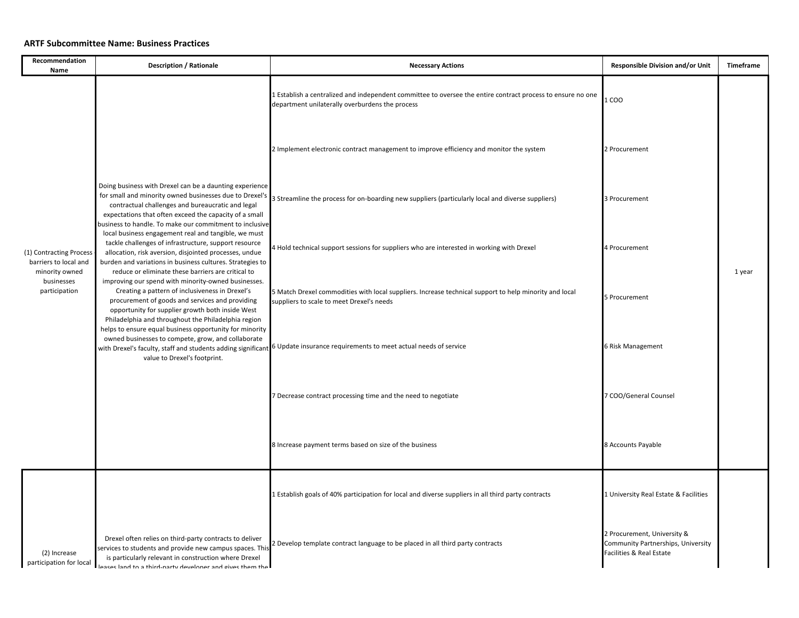## **ARTF Subcommittee Name: Business Practices**

| Recommendation<br>Name                                                                            | <b>Description / Rationale</b>                                                                                                                                                                                                                                                                                                                                                                                                                                                                                                                                                                                                                                                                                                                                                                                                                                                                                                                                                                                      | <b>Necessary Actions</b>                                                                                                                                       | Responsible Division and/or Unit                                                              | Timeframe |
|---------------------------------------------------------------------------------------------------|---------------------------------------------------------------------------------------------------------------------------------------------------------------------------------------------------------------------------------------------------------------------------------------------------------------------------------------------------------------------------------------------------------------------------------------------------------------------------------------------------------------------------------------------------------------------------------------------------------------------------------------------------------------------------------------------------------------------------------------------------------------------------------------------------------------------------------------------------------------------------------------------------------------------------------------------------------------------------------------------------------------------|----------------------------------------------------------------------------------------------------------------------------------------------------------------|-----------------------------------------------------------------------------------------------|-----------|
| (1) Contracting Process<br>barriers to local and<br>minority owned<br>businesses<br>participation | Doing business with Drexel can be a daunting experience<br>for small and minority owned businesses due to Drexel's<br>contractual challenges and bureaucratic and legal<br>expectations that often exceed the capacity of a small<br>business to handle. To make our commitment to inclusive<br>local business engagement real and tangible, we must<br>tackle challenges of infrastructure, support resource<br>allocation, risk aversion, disjointed processes, undue<br>burden and variations in business cultures. Strategies to<br>reduce or eliminate these barriers are critical to<br>improving our spend with minority-owned businesses.<br>Creating a pattern of inclusiveness in Drexel's<br>procurement of goods and services and providing<br>opportunity for supplier growth both inside West<br>Philadelphia and throughout the Philadelphia region<br>helps to ensure equal business opportunity for minority<br>owned businesses to compete, grow, and collaborate<br>value to Drexel's footprint. | 1 Establish a centralized and independent committee to oversee the entire contract process to ensure no one<br>department unilaterally overburdens the process | 1 COO                                                                                         |           |
|                                                                                                   |                                                                                                                                                                                                                                                                                                                                                                                                                                                                                                                                                                                                                                                                                                                                                                                                                                                                                                                                                                                                                     | 2 Implement electronic contract management to improve efficiency and monitor the system                                                                        | 2 Procurement                                                                                 |           |
|                                                                                                   |                                                                                                                                                                                                                                                                                                                                                                                                                                                                                                                                                                                                                                                                                                                                                                                                                                                                                                                                                                                                                     | 3 Streamline the process for on-boarding new suppliers (particularly local and diverse suppliers)                                                              | 3 Procurement                                                                                 |           |
|                                                                                                   |                                                                                                                                                                                                                                                                                                                                                                                                                                                                                                                                                                                                                                                                                                                                                                                                                                                                                                                                                                                                                     | 4 Hold technical support sessions for suppliers who are interested in working with Drexel                                                                      | 4 Procurement                                                                                 | 1 year    |
|                                                                                                   |                                                                                                                                                                                                                                                                                                                                                                                                                                                                                                                                                                                                                                                                                                                                                                                                                                                                                                                                                                                                                     | 5 Match Drexel commodities with local suppliers. Increase technical support to help minority and local<br>suppliers to scale to meet Drexel's needs            | 5 Procurement                                                                                 |           |
|                                                                                                   |                                                                                                                                                                                                                                                                                                                                                                                                                                                                                                                                                                                                                                                                                                                                                                                                                                                                                                                                                                                                                     | with Drexel's faculty, staff and students adding significant 6 Update insurance requirements to meet actual needs of service                                   | 6 Risk Management                                                                             |           |
|                                                                                                   |                                                                                                                                                                                                                                                                                                                                                                                                                                                                                                                                                                                                                                                                                                                                                                                                                                                                                                                                                                                                                     | 7 Decrease contract processing time and the need to negotiate                                                                                                  | 7 COO/General Counsel                                                                         |           |
|                                                                                                   |                                                                                                                                                                                                                                                                                                                                                                                                                                                                                                                                                                                                                                                                                                                                                                                                                                                                                                                                                                                                                     | 8 Increase payment terms based on size of the business                                                                                                         | 8 Accounts Payable                                                                            |           |
|                                                                                                   |                                                                                                                                                                                                                                                                                                                                                                                                                                                                                                                                                                                                                                                                                                                                                                                                                                                                                                                                                                                                                     | 1 Establish goals of 40% participation for local and diverse suppliers in all third party contracts                                                            | 1 University Real Estate & Facilities                                                         |           |
| (2) Increase<br>participation for local                                                           | Drexel often relies on third-party contracts to deliver<br>services to students and provide new campus spaces. This<br>is particularly relevant in construction where Drexel<br>leases land to a third-narty developer and gives them the                                                                                                                                                                                                                                                                                                                                                                                                                                                                                                                                                                                                                                                                                                                                                                           | Develop template contract language to be placed in all third party contracts                                                                                   | 2 Procurement, University &<br>Community Partnerships, University<br>Facilities & Real Estate |           |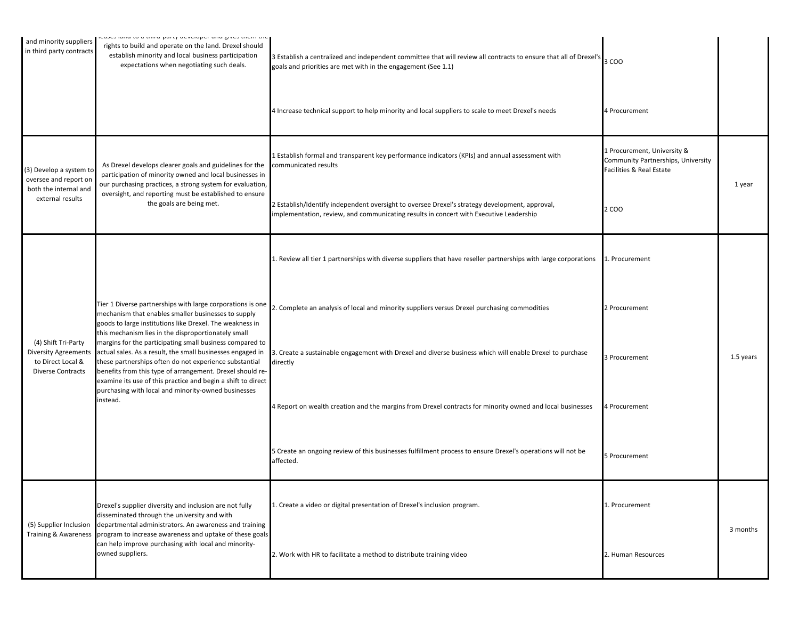| and minority suppliers<br>in third party contracts                                           | ισάρου ιαίτα το απτιτια-ματτ <mark>γ ασνοιομοι αιτα giv</mark> ou trioni trion<br>rights to build and operate on the land. Drexel should<br>establish minority and local business participation<br>expectations when negotiating such deals.                                                                                                                                                                                                                                                                                                                                                                             | 3 Establish a centralized and independent committee that will review all contracts to ensure that all of Drexel's<br>goals and priorities are met with in the engagement (See 1.1)       | 3 COO                                                                                         |           |
|----------------------------------------------------------------------------------------------|--------------------------------------------------------------------------------------------------------------------------------------------------------------------------------------------------------------------------------------------------------------------------------------------------------------------------------------------------------------------------------------------------------------------------------------------------------------------------------------------------------------------------------------------------------------------------------------------------------------------------|------------------------------------------------------------------------------------------------------------------------------------------------------------------------------------------|-----------------------------------------------------------------------------------------------|-----------|
|                                                                                              |                                                                                                                                                                                                                                                                                                                                                                                                                                                                                                                                                                                                                          | 4 Increase technical support to help minority and local suppliers to scale to meet Drexel's needs                                                                                        | 4 Procurement                                                                                 |           |
| (3) Develop a system to<br>oversee and report on                                             | As Drexel develops clearer goals and guidelines for the communicated results<br>participation of minority owned and local businesses in<br>our purchasing practices, a strong system for evaluation,                                                                                                                                                                                                                                                                                                                                                                                                                     | 1 Establish formal and transparent key performance indicators (KPIs) and annual assessment with                                                                                          | L Procurement, University &<br>Community Partnerships, University<br>Facilities & Real Estate | 1 year    |
| both the internal and<br>external results                                                    | oversight, and reporting must be established to ensure<br>the goals are being met.                                                                                                                                                                                                                                                                                                                                                                                                                                                                                                                                       | 2 Establish/Identify independent oversight to oversee Drexel's strategy development, approval,<br>implementation, review, and communicating results in concert with Executive Leadership | 2 COO                                                                                         |           |
|                                                                                              |                                                                                                                                                                                                                                                                                                                                                                                                                                                                                                                                                                                                                          | 1. Review all tier 1 partnerships with diverse suppliers that have reseller partnerships with large corporations                                                                         | 1. Procurement                                                                                |           |
| (4) Shift Tri-Party<br><b>Diversity Agreements</b><br>to Direct Local &<br>Diverse Contracts | Tier 1 Diverse partnerships with large corporations is one<br>mechanism that enables smaller businesses to supply<br>goods to large institutions like Drexel. The weakness in<br>this mechanism lies in the disproportionately small<br>margins for the participating small business compared to<br>actual sales. As a result, the small businesses engaged in<br>these partnerships often do not experience substantial<br>benefits from this type of arrangement. Drexel should re-<br>examine its use of this practice and begin a shift to direct<br>purchasing with local and minority-owned businesses<br>instead. | 2. Complete an analysis of local and minority suppliers versus Drexel purchasing commodities                                                                                             | 2 Procurement                                                                                 |           |
|                                                                                              |                                                                                                                                                                                                                                                                                                                                                                                                                                                                                                                                                                                                                          | 3. Create a sustainable engagement with Drexel and diverse business which will enable Drexel to purchase<br>directly                                                                     | 3 Procurement                                                                                 | 1.5 years |
|                                                                                              |                                                                                                                                                                                                                                                                                                                                                                                                                                                                                                                                                                                                                          | 4 Report on wealth creation and the margins from Drexel contracts for minority owned and local businesses                                                                                | 4 Procurement                                                                                 |           |
|                                                                                              |                                                                                                                                                                                                                                                                                                                                                                                                                                                                                                                                                                                                                          | 5 Create an ongoing review of this businesses fulfillment process to ensure Drexel's operations will not be<br>affected.                                                                 | 5 Procurement                                                                                 |           |
|                                                                                              | Drexel's supplier diversity and inclusion are not fully<br>disseminated through the university and with<br>(5) Supplier Inclusion departmental administrators. An awareness and training<br>Training & Awareness program to increase awareness and uptake of these goals<br>can help improve purchasing with local and minority-<br>owned suppliers.                                                                                                                                                                                                                                                                     | 1. Create a video or digital presentation of Drexel's inclusion program.                                                                                                                 | 1. Procurement                                                                                | 3 months  |
|                                                                                              |                                                                                                                                                                                                                                                                                                                                                                                                                                                                                                                                                                                                                          | 2. Work with HR to facilitate a method to distribute training video                                                                                                                      | 2. Human Resources                                                                            |           |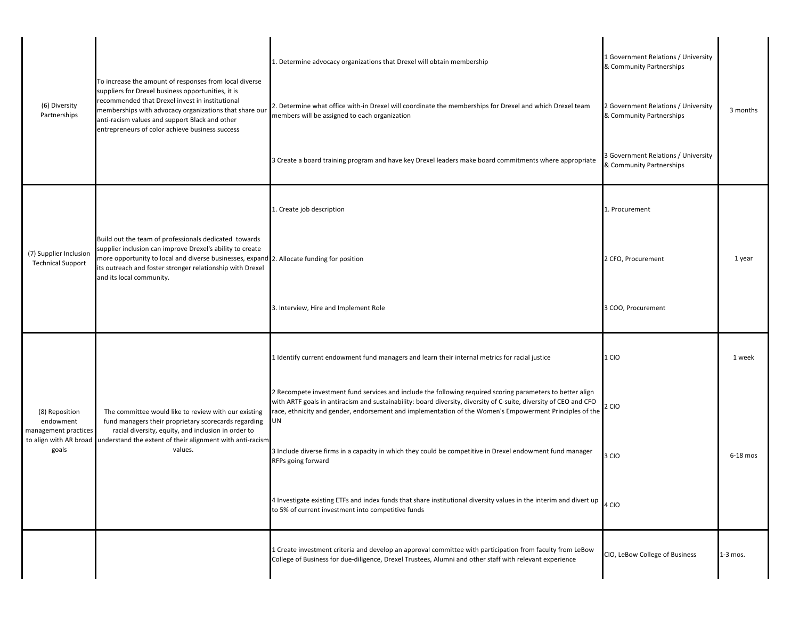| (6) Diversity<br>Partnerships                                | To increase the amount of responses from local diverse<br>suppliers for Drexel business opportunities, it is<br>recommended that Drexel invest in institutional<br>memberships with advocacy organizations that share our<br>anti-racism values and support Black and other<br>entrepreneurs of color achieve business success | 1. Determine advocacy organizations that Drexel will obtain membership                                                                                                                                                                                                                                                                           | 1 Government Relations / University<br>& Community Partnerships |            |
|--------------------------------------------------------------|--------------------------------------------------------------------------------------------------------------------------------------------------------------------------------------------------------------------------------------------------------------------------------------------------------------------------------|--------------------------------------------------------------------------------------------------------------------------------------------------------------------------------------------------------------------------------------------------------------------------------------------------------------------------------------------------|-----------------------------------------------------------------|------------|
|                                                              |                                                                                                                                                                                                                                                                                                                                | . Determine what office with-in Drexel will coordinate the memberships for Drexel and which Drexel team<br>members will be assigned to each organization                                                                                                                                                                                         | 2 Government Relations / University<br>& Community Partnerships | 3 months   |
| (7) Supplier Inclusion<br><b>Technical Support</b>           |                                                                                                                                                                                                                                                                                                                                | 3 Create a board training program and have key Drexel leaders make board commitments where appropriate                                                                                                                                                                                                                                           | 3 Government Relations / University<br>& Community Partnerships |            |
|                                                              |                                                                                                                                                                                                                                                                                                                                | 1. Create job description                                                                                                                                                                                                                                                                                                                        | 1. Procurement                                                  |            |
|                                                              | Build out the team of professionals dedicated towards<br>supplier inclusion can improve Drexel's ability to create<br>more opportunity to local and diverse businesses, expand 2. Allocate funding for position<br>its outreach and foster stronger relationship with Drexel<br>and its local community.                       |                                                                                                                                                                                                                                                                                                                                                  | 2 CFO, Procurement                                              | 1 year     |
|                                                              |                                                                                                                                                                                                                                                                                                                                | 3. Interview, Hire and Implement Role                                                                                                                                                                                                                                                                                                            | 3 COO, Procurement                                              |            |
| (8) Reposition<br>endowment<br>management practices<br>goals | The committee would like to review with our existing<br>fund managers their proprietary scorecards regarding<br>racial diversity, equity, and inclusion in order to<br>to align with AR broad understand the extent of their alignment with anti-racism<br>values.                                                             | 1 Identify current endowment fund managers and learn their internal metrics for racial justice                                                                                                                                                                                                                                                   | 1 CIO                                                           | 1 week     |
|                                                              |                                                                                                                                                                                                                                                                                                                                | 2 Recompete investment fund services and include the following required scoring parameters to better align<br>with ARTF goals in antiracism and sustainability: board diversity, diversity of C-suite, diversity of CEO and CFO<br>race, ethnicity and gender, endorsement and implementation of the Women's Empowerment Principles of the<br>UN | 2 CIO                                                           |            |
|                                                              |                                                                                                                                                                                                                                                                                                                                | 3 Include diverse firms in a capacity in which they could be competitive in Drexel endowment fund manager<br>RFPs going forward                                                                                                                                                                                                                  | 3 CIO                                                           | $6-18$ mos |
|                                                              |                                                                                                                                                                                                                                                                                                                                | 4 Investigate existing ETFs and index funds that share institutional diversity values in the interim and divert up<br>to 5% of current investment into competitive funds                                                                                                                                                                         | 4 CIO                                                           |            |
|                                                              |                                                                                                                                                                                                                                                                                                                                | 1 Create investment criteria and develop an approval committee with participation from faculty from LeBow<br>College of Business for due-diligence, Drexel Trustees, Alumni and other staff with relevant experience                                                                                                                             | CIO, LeBow College of Business                                  | $1-3$ mos. |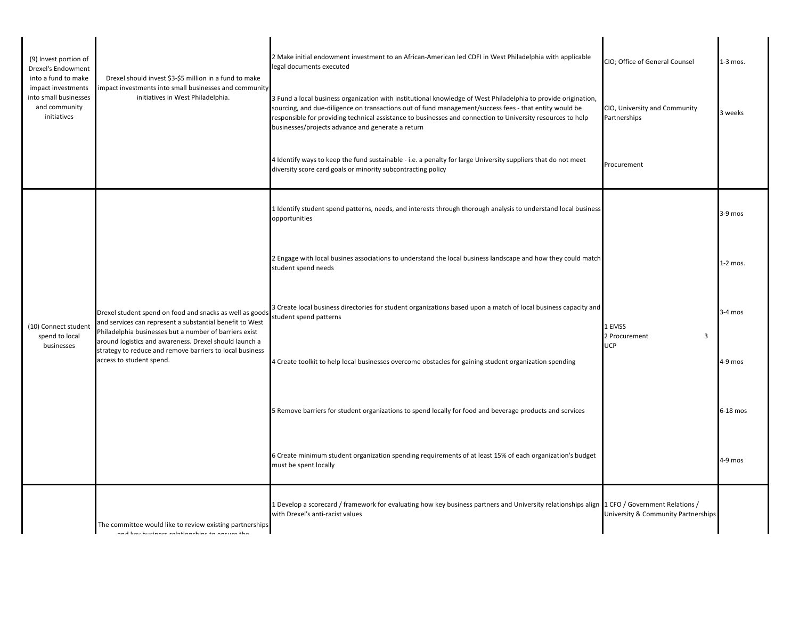| (9) Invest portion of<br>Drexel's Endowment<br>into a fund to make<br>impact investments<br>into small businesses<br>and community<br>initiatives | Drexel should invest \$3-\$5 million in a fund to make<br>mpact investments into small businesses and community<br>initiatives in West Philadelphia.                                                                                                                                                                             | 2 Make initial endowment investment to an African-American led CDFI in West Philadelphia with applicable<br>legal documents executed                                                                                                                                                                                                                                                         | CIO; Office of General Counsel                | $1-3$ mos. |
|---------------------------------------------------------------------------------------------------------------------------------------------------|----------------------------------------------------------------------------------------------------------------------------------------------------------------------------------------------------------------------------------------------------------------------------------------------------------------------------------|----------------------------------------------------------------------------------------------------------------------------------------------------------------------------------------------------------------------------------------------------------------------------------------------------------------------------------------------------------------------------------------------|-----------------------------------------------|------------|
|                                                                                                                                                   |                                                                                                                                                                                                                                                                                                                                  | 3 Fund a local business organization with institutional knowledge of West Philadelphia to provide origination,<br>sourcing, and due-diligence on transactions out of fund management/success fees - that entity would be<br>responsible for providing technical assistance to businesses and connection to University resources to help<br>businesses/projects advance and generate a return | CIO, University and Community<br>Partnerships | 3 weeks    |
|                                                                                                                                                   |                                                                                                                                                                                                                                                                                                                                  | 4 Identify ways to keep the fund sustainable - i.e. a penalty for large University suppliers that do not meet<br>diversity score card goals or minority subcontracting policy                                                                                                                                                                                                                | Procurement                                   |            |
| (10) Connect student<br>spend to local<br>businesses                                                                                              | Drexel student spend on food and snacks as well as goods<br>and services can represent a substantial benefit to West<br>Philadelphia businesses but a number of barriers exist<br>around logistics and awareness. Drexel should launch a<br>strategy to reduce and remove barriers to local business<br>access to student spend. | 1 Identify student spend patterns, needs, and interests through thorough analysis to understand local business<br>opportunities                                                                                                                                                                                                                                                              |                                               | $3-9$ mos  |
|                                                                                                                                                   |                                                                                                                                                                                                                                                                                                                                  | 2 Engage with local busines associations to understand the local business landscape and how they could match<br>student spend needs                                                                                                                                                                                                                                                          |                                               | $1-2$ mos. |
|                                                                                                                                                   |                                                                                                                                                                                                                                                                                                                                  | 3 Create local business directories for student organizations based upon a match of local business capacity and<br>student spend patterns                                                                                                                                                                                                                                                    | 1 EMSS<br>2 Procurement<br>3                  | $3-4$ mos  |
|                                                                                                                                                   |                                                                                                                                                                                                                                                                                                                                  | 4 Create toolkit to help local businesses overcome obstacles for gaining student organization spending                                                                                                                                                                                                                                                                                       | <b>UCP</b>                                    | $4-9$ mos  |
|                                                                                                                                                   |                                                                                                                                                                                                                                                                                                                                  | 5 Remove barriers for student organizations to spend locally for food and beverage products and services                                                                                                                                                                                                                                                                                     |                                               | 6-18 mos   |
|                                                                                                                                                   |                                                                                                                                                                                                                                                                                                                                  | 6 Create minimum student organization spending requirements of at least 15% of each organization's budget<br>must be spent locally                                                                                                                                                                                                                                                           |                                               | 4-9 mos    |
|                                                                                                                                                   | The committee would like to review existing partnerships<br>and kay hucingse ralationshine to ansura the                                                                                                                                                                                                                         | I Develop a scorecard / framework for evaluating how key business partners and University relationships align 1 CFO / Government Relations /<br>with Drexel's anti-racist values                                                                                                                                                                                                             | University & Community Partnerships           |            |